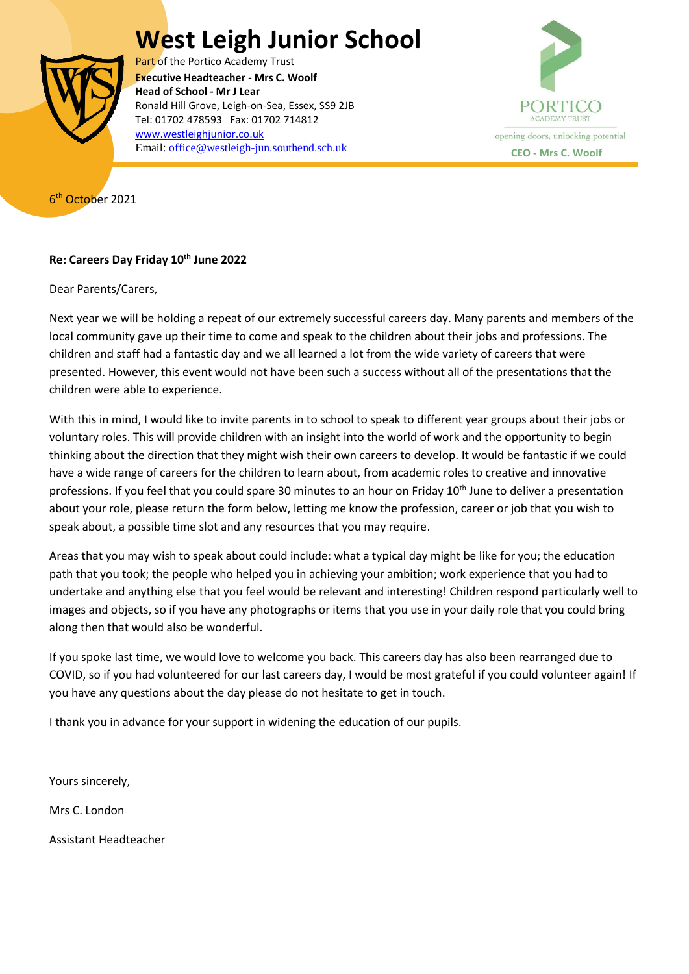## **West Leigh Junior School**



Part of the Portico Academy Trust  Ronald Hill Grove, Leigh-on-Sea, Essex, SS9 2JB **Executive Headteacher - Mrs C. Woolf Head of School - Mr J Lear** Tel: 01702 478593 Fax: 01702 714812 [www.westleighjunior.co.uk](http://www.westleighjunior.co.uk/) Email: **office@westleigh-jun.southend.sch.uk CEO** - **Mrs C. Woolf** 



6<sup>th</sup> October 2021

## **Re: Careers Day Friday 10th June 2022**

Dear Parents/Carers,

Next year we will be holding a repeat of our extremely successful careers day. Many parents and members of the local community gave up their time to come and speak to the children about their jobs and professions. The children and staff had a fantastic day and we all learned a lot from the wide variety of careers that were presented. However, this event would not have been such a success without all of the presentations that the children were able to experience.

With this in mind, I would like to invite parents in to school to speak to different year groups about their jobs or voluntary roles. This will provide children with an insight into the world of work and the opportunity to begin thinking about the direction that they might wish their own careers to develop. It would be fantastic if we could have a wide range of careers for the children to learn about, from academic roles to creative and innovative professions. If you feel that you could spare 30 minutes to an hour on Friday 10<sup>th</sup> June to deliver a presentation about your role, please return the form below, letting me know the profession, career or job that you wish to speak about, a possible time slot and any resources that you may require.

Areas that you may wish to speak about could include: what a typical day might be like for you; the education path that you took; the people who helped you in achieving your ambition; work experience that you had to undertake and anything else that you feel would be relevant and interesting! Children respond particularly well to images and objects, so if you have any photographs or items that you use in your daily role that you could bring along then that would also be wonderful.

If you spoke last time, we would love to welcome you back. This careers day has also been rearranged due to COVID, so if you had volunteered for our last careers day, I would be most grateful if you could volunteer again! If you have any questions about the day please do not hesitate to get in touch.

I thank you in advance for your support in widening the education of our pupils.

Yours sincerely,

Mrs C. London

Assistant Headteacher